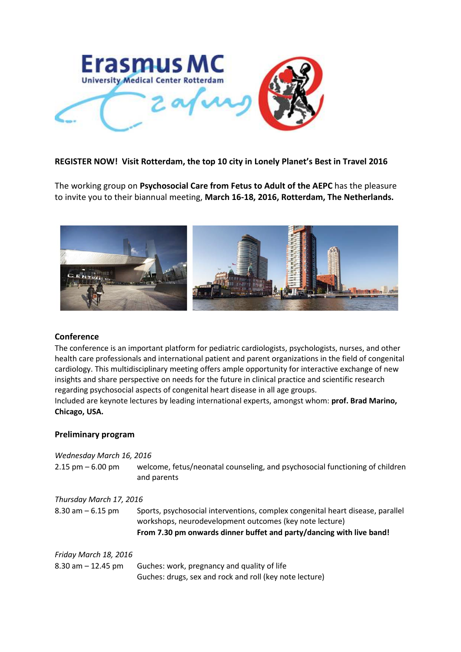

# **REGISTER NOW! Visit Rotterdam, the top 10 city in Lonely Planet's Best in Travel 2016**

The working group on **Psychosocial Care from Fetus to Adult of the AEPC** has the pleasure to invite you to their biannual meeting, **March 16-18, 2016, Rotterdam, The Netherlands.** 



## **Conference**

The conference is an important platform for pediatric cardiologists, psychologists, nurses, and other health care professionals and international patient and parent organizations in the field of congenital cardiology. This multidisciplinary meeting offers ample opportunity for interactive exchange of new insights and share perspective on needs for the future in clinical practice and scientific research regarding psychosocial aspects of congenital heart disease in all age groups.

Included are keynote lectures by leading international experts, amongst whom: **prof. Brad Marino, Chicago, USA.** 

## **Preliminary program**

| Wednesday March 16, 2016 |                                                                                                                                                                                                                   |
|--------------------------|-------------------------------------------------------------------------------------------------------------------------------------------------------------------------------------------------------------------|
| $2.15$ pm $-6.00$ pm     | welcome, fetus/neonatal counseling, and psychosocial functioning of children<br>and parents                                                                                                                       |
| Thursday March 17, 2016  |                                                                                                                                                                                                                   |
| $8.30$ am $-6.15$ pm     | Sports, psychosocial interventions, complex congenital heart disease, parallel<br>workshops, neurodevelopment outcomes (key note lecture)<br>From 7.30 pm onwards dinner buffet and party/dancing with live band! |
| Friday March 18, 2016    |                                                                                                                                                                                                                   |
| $8.30$ am $- 12.45$ pm   | Guches: work, pregnancy and quality of life                                                                                                                                                                       |
|                          | Guches: drugs, sex and rock and roll (key note lecture)                                                                                                                                                           |